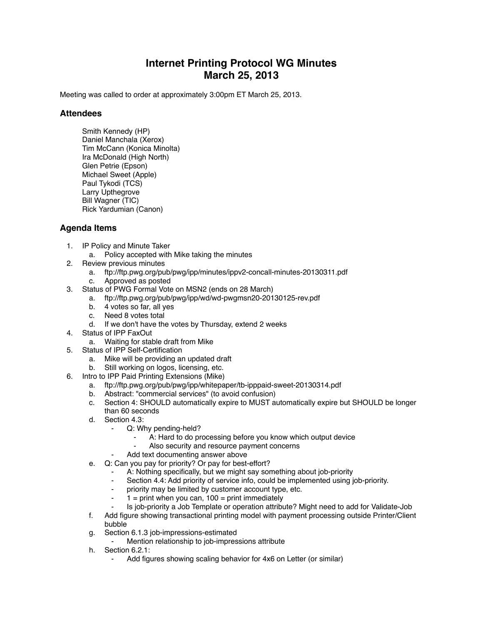## **Internet Printing Protocol WG Minutes March 25, 2013**

Meeting was called to order at approximately 3:00pm ET March 25, 2013.

## **Attendees**

Smith Kennedy (HP) Daniel Manchala (Xerox) Tim McCann (Konica Minolta) Ira McDonald (High North) Glen Petrie (Epson) Michael Sweet (Apple) Paul Tykodi (TCS) Larry Upthegrove Bill Wagner (TIC) Rick Yardumian (Canon)

## **Agenda Items**

- 1. IP Policy and Minute Taker
	- a. Policy accepted with Mike taking the minutes
- 2. Review previous minutes
	- a. ftp://ftp.pwg.org/pub/pwg/ipp/minutes/ippv2-concall-minutes-20130311.pdf
	- c. Approved as posted
- 3. Status of PWG Formal Vote on MSN2 (ends on 28 March)
	- a. ftp://ftp.pwg.org/pub/pwg/ipp/wd/wd-pwgmsn20-20130125-rev.pdf
	- b. 4 votes so far, all yes
	- c. Need 8 votes total
	- d. If we don't have the votes by Thursday, extend 2 weeks
- 4. Status of IPP FaxOut
	- a. Waiting for stable draft from Mike
- 5. Status of IPP Self-Certification
	- a. Mike will be providing an updated draft
	- b. Still working on logos, licensing, etc.
- 6. Intro to IPP Paid Printing Extensions (Mike)
	- a. ftp://ftp.pwg.org/pub/pwg/ipp/whitepaper/tb-ipppaid-sweet-20130314.pdf
	- b. Abstract: "commercial services" (to avoid confusion)
	- c. Section 4: SHOULD automatically expire to MUST automatically expire but SHOULD be longer than 60 seconds
	- d. Section 4.3:
		- Q: Why pending-held?
			- A: Hard to do processing before you know which output device
			- Also security and resource payment concerns
		- Add text documenting answer above
	- e. Q: Can you pay for priority? Or pay for best-effort?
		- A: Nothing specifically, but we might say something about job-priority
		- ⁃ Section 4.4: Add priority of service info, could be implemented using job-priority.
		- ⁃ priority may be limited by customer account type, etc.
		- $1 =$  print when you can,  $100 =$  print immediately
	- ⁃ Is job-priority a Job Template or operation attribute? Might need to add for Validate-Job
	- f. Add figure showing transactional printing model with payment processing outside Printer/Client bubble
	- g. Section 6.1.3 job-impressions-estimated
		- Mention relationship to job-impressions attribute
	- h. Section 6.2.1:
		- Add figures showing scaling behavior for 4x6 on Letter (or similar)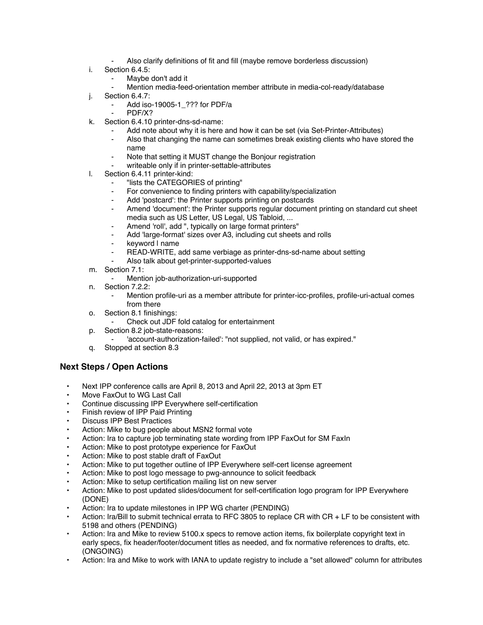- Also clarify definitions of fit and fill (maybe remove borderless discussion)
- i. Section 6.4.5:
	- Maybe don't add it
	- Mention media-feed-orientation member attribute in media-col-ready/database
- j. Section 6.4.7:
	- Add iso-19005-1 ??? for PDF/a
	- PDF/X?
- k. Section 6.4.10 printer-dns-sd-name:
	- ⁃ Add note about why it is here and how it can be set (via Set-Printer-Attributes)
	- Also that changing the name can sometimes break existing clients who have stored the name
	- Note that setting it MUST change the Bonjour registration
	- writeable only if in printer-settable-attributes
- l. Section 6.4.11 printer-kind:
	- ⁃ "lists the CATEGORIES of printing"
	- For convenience to finding printers with capability/specialization
	- Add 'postcard': the Printer supports printing on postcards
	- Amend 'document': the Printer supports regular document printing on standard cut sheet media such as US Letter, US Legal, US Tabloid, ...
	- ⁃ Amend 'roll', add ", typically on large format printers"
	- Add 'large-format' sizes over A3, including cut sheets and rolls
	- keyword I name
	- READ-WRITE, add same verbiage as printer-dns-sd-name about setting
	- Also talk about get-printer-supported-values
- m. Section 7.1:
	- Mention job-authorization-uri-supported
- n. Section 7.2.2:
	- Mention profile-uri as a member attribute for printer-icc-profiles, profile-uri-actual comes from there
- o. Section 8.1 finishings:
	- Check out JDF fold catalog for entertainment
- p. Section 8.2 job-state-reasons:
	- 'account-authorization-failed': "not supplied, not valid, or has expired."
- q. Stopped at section 8.3

## **Next Steps / Open Actions**

- Next IPP conference calls are April 8, 2013 and April 22, 2013 at 3pm ET
- Move FaxOut to WG Last Call
- Continue discussing IPP Everywhere self-certification
- Finish review of IPP Paid Printing
- Discuss IPP Best Practices
- Action: Mike to bug people about MSN2 formal vote
- Action: Ira to capture job terminating state wording from IPP FaxOut for SM FaxIn
- Action: Mike to post prototype experience for FaxOut
- Action: Mike to post stable draft of FaxOut
- Action: Mike to put together outline of IPP Everywhere self-cert license agreement
- Action: Mike to post logo message to pwg-announce to solicit feedback
- Action: Mike to setup certification mailing list on new server
- Action: Mike to post updated slides/document for self-certification logo program for IPP Everywhere (DONE)
- Action: Ira to update milestones in IPP WG charter (PENDING)
- Action: Ira/Bill to submit technical errata to RFC 3805 to replace CR with CR + LF to be consistent with 5198 and others (PENDING)
- Action: Ira and Mike to review 5100.x specs to remove action items, fix boilerplate copyright text in early specs, fix header/footer/document titles as needed, and fix normative references to drafts, etc. (ONGOING)
- Action: Ira and Mike to work with IANA to update registry to include a "set allowed" column for attributes